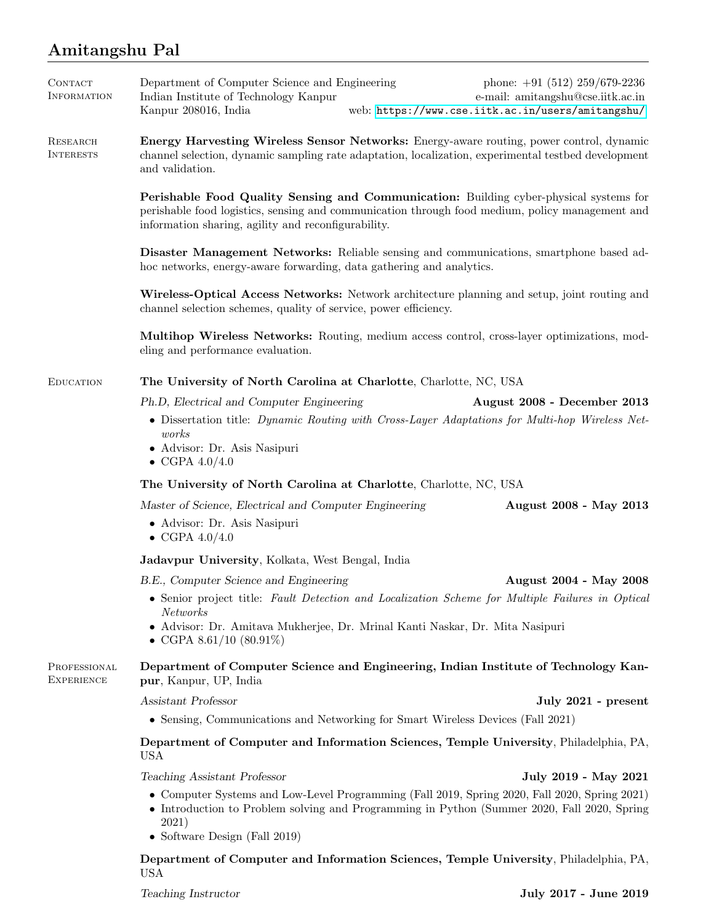## Amitangshu Pal

| CONTACT<br>INFORMATION              | Department of Computer Science and Engineering<br>phone: $+91$ (512) 259/679-2236<br>Indian Institute of Technology Kanpur<br>e-mail: amitangshu@cse.iitk.ac.in<br>Kanpur 208016, India<br>web: https://www.cse.iitk.ac.in/users/amitangshu/     |  |
|-------------------------------------|--------------------------------------------------------------------------------------------------------------------------------------------------------------------------------------------------------------------------------------------------|--|
| <b>RESEARCH</b><br><b>INTERESTS</b> | Energy Harvesting Wireless Sensor Networks: Energy-aware routing, power control, dynamic<br>channel selection, dynamic sampling rate adaptation, localization, experimental testbed development<br>and validation.                               |  |
|                                     | Perishable Food Quality Sensing and Communication: Building cyber-physical systems for<br>perishable food logistics, sensing and communication through food medium, policy management and<br>information sharing, agility and reconfigurability. |  |
|                                     | Disaster Management Networks: Reliable sensing and communications, smartphone based ad-<br>hoc networks, energy-aware forwarding, data gathering and analytics.                                                                                  |  |
|                                     | Wireless-Optical Access Networks: Network architecture planning and setup, joint routing and<br>channel selection schemes, quality of service, power efficiency.                                                                                 |  |
|                                     | Multihop Wireless Networks: Routing, medium access control, cross-layer optimizations, mod-<br>eling and performance evaluation.                                                                                                                 |  |
| <b>EDUCATION</b>                    | The University of North Carolina at Charlotte, Charlotte, NC, USA                                                                                                                                                                                |  |
|                                     | Ph.D, Electrical and Computer Engineering<br>August 2008 - December 2013                                                                                                                                                                         |  |
|                                     | • Dissertation title: Dynamic Routing with Cross-Layer Adaptations for Multi-hop Wireless Net-<br>works<br>• Advisor: Dr. Asis Nasipuri<br>• CGPA $4.0/4.0$                                                                                      |  |
|                                     | The University of North Carolina at Charlotte, Charlotte, NC, USA                                                                                                                                                                                |  |
|                                     |                                                                                                                                                                                                                                                  |  |
|                                     | Master of Science, Electrical and Computer Engineering<br>August 2008 - May 2013<br>• Advisor: Dr. Asis Nasipuri<br>• CGPA $4.0/4.0$                                                                                                             |  |
|                                     | Jadavpur University, Kolkata, West Bengal, India                                                                                                                                                                                                 |  |
|                                     | B.E., Computer Science and Engineering<br>August 2004 - May 2008                                                                                                                                                                                 |  |
|                                     | • Senior project title: Fault Detection and Localization Scheme for Multiple Failures in Optical<br><b>Networks</b>                                                                                                                              |  |
|                                     | • Advisor: Dr. Amitava Mukherjee, Dr. Mrinal Kanti Naskar, Dr. Mita Nasipuri<br>• CGPA 8.61/10 $(80.91\%)$                                                                                                                                       |  |
| PROFESSIONAL<br><b>EXPERIENCE</b>   | Department of Computer Science and Engineering, Indian Institute of Technology Kan-<br>pur, Kanpur, UP, India                                                                                                                                    |  |
|                                     | Assistant Professor<br>July 2021 - present                                                                                                                                                                                                       |  |
|                                     | • Sensing, Communications and Networking for Smart Wireless Devices (Fall 2021)                                                                                                                                                                  |  |
|                                     | Department of Computer and Information Sciences, Temple University, Philadelphia, PA,<br><b>USA</b>                                                                                                                                              |  |
|                                     | Teaching Assistant Professor<br>July 2019 - May 2021                                                                                                                                                                                             |  |
|                                     | • Computer Systems and Low-Level Programming (Fall 2019, Spring 2020, Fall 2020, Spring 2021)<br>• Introduction to Problem solving and Programming in Python (Summer 2020, Fall 2020, Spring<br>2021)<br>• Software Design (Fall 2019)           |  |
|                                     | Department of Computer and Information Sciences, Temple University, Philadelphia, PA,                                                                                                                                                            |  |

USA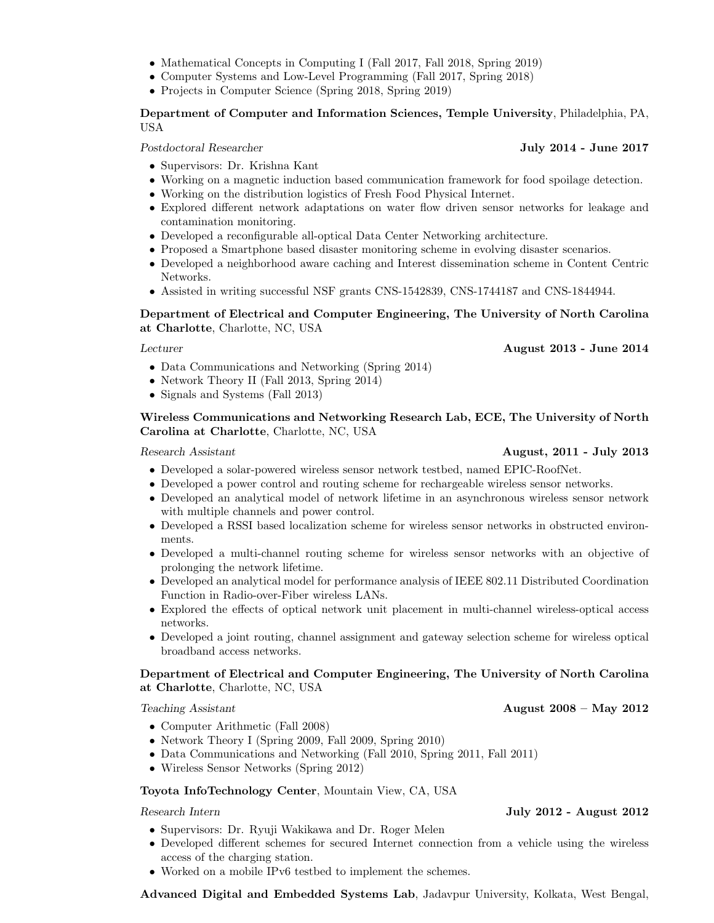- Mathematical Concepts in Computing I (Fall 2017, Fall 2018, Spring 2019) • Computer Systems and Low-Level Programming (Fall 2017, Spring 2018)
	- Projects in Computer Science (Spring 2018, Spring 2019)

## Department of Computer and Information Sciences, Temple University, Philadelphia, PA, USA

Postdoctoral Researcher July 2014 - June 2017

- Supervisors: Dr. Krishna Kant
- Working on a magnetic induction based communication framework for food spoilage detection.
- Working on the distribution logistics of Fresh Food Physical Internet.
- Explored different network adaptations on water flow driven sensor networks for leakage and contamination monitoring.
- Developed a reconfigurable all-optical Data Center Networking architecture.
- Proposed a Smartphone based disaster monitoring scheme in evolving disaster scenarios.
- Developed a neighborhood aware caching and Interest dissemination scheme in Content Centric Networks.
- Assisted in writing successful NSF grants CNS-1542839, CNS-1744187 and CNS-1844944.

## Department of Electrical and Computer Engineering, The University of North Carolina at Charlotte, Charlotte, NC, USA

Lecturer August 2013 - June 2014

- Data Communications and Networking (Spring 2014)
- Network Theory II (Fall 2013, Spring 2014)
- Signals and Systems (Fall 2013)

## Wireless Communications and Networking Research Lab, ECE, The University of North Carolina at Charlotte, Charlotte, NC, USA

### Research Assistant **August, 2011 - July 2013**

- Developed a solar-powered wireless sensor network testbed, named EPIC-RoofNet.
- Developed a power control and routing scheme for rechargeable wireless sensor networks.
- Developed an analytical model of network lifetime in an asynchronous wireless sensor network with multiple channels and power control.
- Developed a RSSI based localization scheme for wireless sensor networks in obstructed environments.
- Developed a multi-channel routing scheme for wireless sensor networks with an objective of prolonging the network lifetime.
- Developed an analytical model for performance analysis of IEEE 802.11 Distributed Coordination Function in Radio-over-Fiber wireless LANs.
- Explored the effects of optical network unit placement in multi-channel wireless-optical access networks.
- Developed a joint routing, channel assignment and gateway selection scheme for wireless optical broadband access networks.

## Department of Electrical and Computer Engineering, The University of North Carolina at Charlotte, Charlotte, NC, USA

- Computer Arithmetic (Fall 2008)
- Network Theory I (Spring 2009, Fall 2009, Spring 2010)
- Data Communications and Networking (Fall 2010, Spring 2011, Fall 2011)
- Wireless Sensor Networks (Spring 2012)

### Toyota InfoTechnology Center, Mountain View, CA, USA

- Supervisors: Dr. Ryuji Wakikawa and Dr. Roger Melen
- Developed different schemes for secured Internet connection from a vehicle using the wireless access of the charging station.
- Worked on a mobile IPv6 testbed to implement the schemes.

Advanced Digital and Embedded Systems Lab, Jadavpur University, Kolkata, West Bengal,

## Research Intern July 2012 - August 2012

Teaching Assistant **August 2008 – May 2012**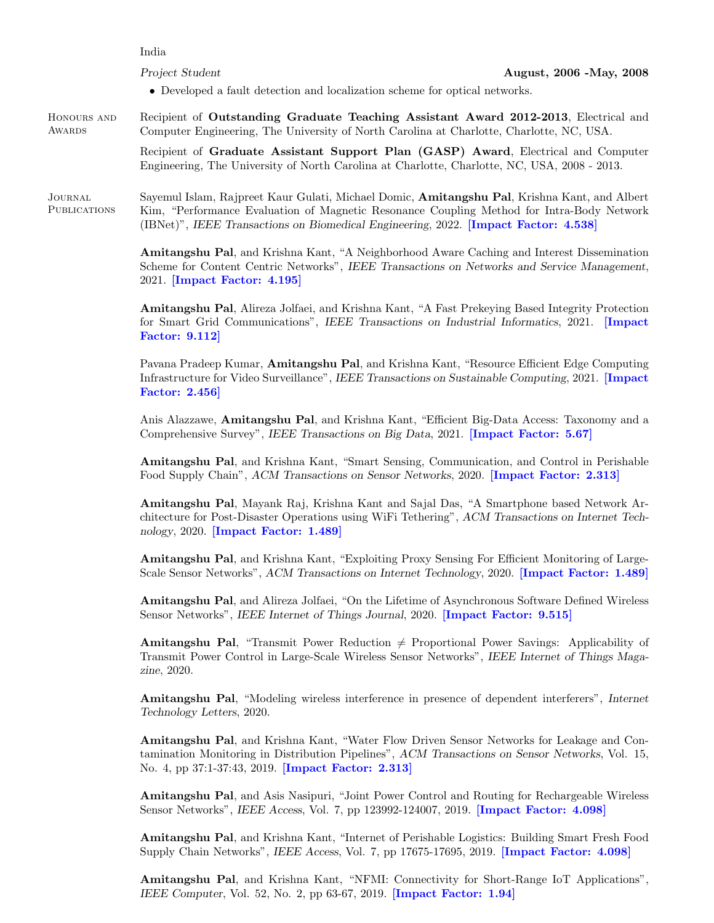India

- Developed a fault detection and localization scheme for optical networks.
- Honours and **AWARDS** Recipient of Outstanding Graduate Teaching Assistant Award 2012-2013, Electrical and Computer Engineering, The University of North Carolina at Charlotte, Charlotte, NC, USA.

Recipient of Graduate Assistant Support Plan (GASP) Award, Electrical and Computer Engineering, The University of North Carolina at Charlotte, Charlotte, NC, USA, 2008 - 2013.

Journal **PUBLICATIONS** Sayemul Islam, Rajpreet Kaur Gulati, Michael Domic, Amitangshu Pal, Krishna Kant, and Albert Kim, "Performance Evaluation of Magnetic Resonance Coupling Method for Intra-Body Network (IBNet)", IEEE Transactions on Biomedical Engineering, 2022. [Impact Factor: 4.538]

> Amitangshu Pal, and Krishna Kant, "A Neighborhood Aware Caching and Interest Dissemination Scheme for Content Centric Networks", IEEE Transactions on Networks and Service Management, 2021. [Impact Factor: 4.195]

> Amitangshu Pal, Alireza Jolfaei, and Krishna Kant, "A Fast Prekeying Based Integrity Protection for Smart Grid Communications", IEEE Transactions on Industrial Informatics, 2021. [Impact Factor: 9.112]

> Pavana Pradeep Kumar, **Amitangshu Pal**, and Krishna Kant, "Resource Efficient Edge Computing Infrastructure for Video Surveillance", IEEE Transactions on Sustainable Computing, 2021. [Impact Factor: 2.456]

> Anis Alazzawe, Amitangshu Pal, and Krishna Kant, "Efficient Big-Data Access: Taxonomy and a Comprehensive Survey", IEEE Transactions on Big Data, 2021. [Impact Factor: 5.67]

> Amitangshu Pal, and Krishna Kant, "Smart Sensing, Communication, and Control in Perishable Food Supply Chain", ACM Transactions on Sensor Networks, 2020. [Impact Factor: 2.313]

> Amitangshu Pal, Mayank Raj, Krishna Kant and Sajal Das, "A Smartphone based Network Architecture for Post-Disaster Operations using WiFi Tethering", ACM Transactions on Internet Technology, 2020. [Impact Factor: 1.489]

> Amitangshu Pal, and Krishna Kant, "Exploiting Proxy Sensing For Efficient Monitoring of Large-Scale Sensor Networks", ACM Transactions on Internet Technology, 2020. [Impact Factor: 1.489]

> Amitangshu Pal, and Alireza Jolfaei, "On the Lifetime of Asynchronous Software Defined Wireless Sensor Networks", IEEE Internet of Things Journal, 2020. [Impact Factor: 9.515]

> **Amitangshu Pal,** "Transmit Power Reduction  $\neq$  Proportional Power Savings: Applicability of Transmit Power Control in Large-Scale Wireless Sensor Networks", IEEE Internet of Things Magazine, 2020.

> Amitangshu Pal, "Modeling wireless interference in presence of dependent interferers", Internet Technology Letters, 2020.

> Amitangshu Pal, and Krishna Kant, "Water Flow Driven Sensor Networks for Leakage and Contamination Monitoring in Distribution Pipelines", ACM Transactions on Sensor Networks, Vol. 15, No. 4, pp 37:1-37:43, 2019. **[Impact Factor: 2.313]**

> Amitangshu Pal, and Asis Nasipuri, "Joint Power Control and Routing for Rechargeable Wireless Sensor Networks", IEEE Access, Vol. 7, pp 123992-124007, 2019. [Impact Factor: 4.098]

> Amitangshu Pal, and Krishna Kant, "Internet of Perishable Logistics: Building Smart Fresh Food Supply Chain Networks", IEEE Access, Vol. 7, pp 17675-17695, 2019. [Impact Factor: 4.098]

> Amitangshu Pal, and Krishna Kant, "NFMI: Connectivity for Short-Range IoT Applications", IEEE Computer, Vol. 52, No. 2, pp 63-67, 2019. **[Impact Factor: 1.94]**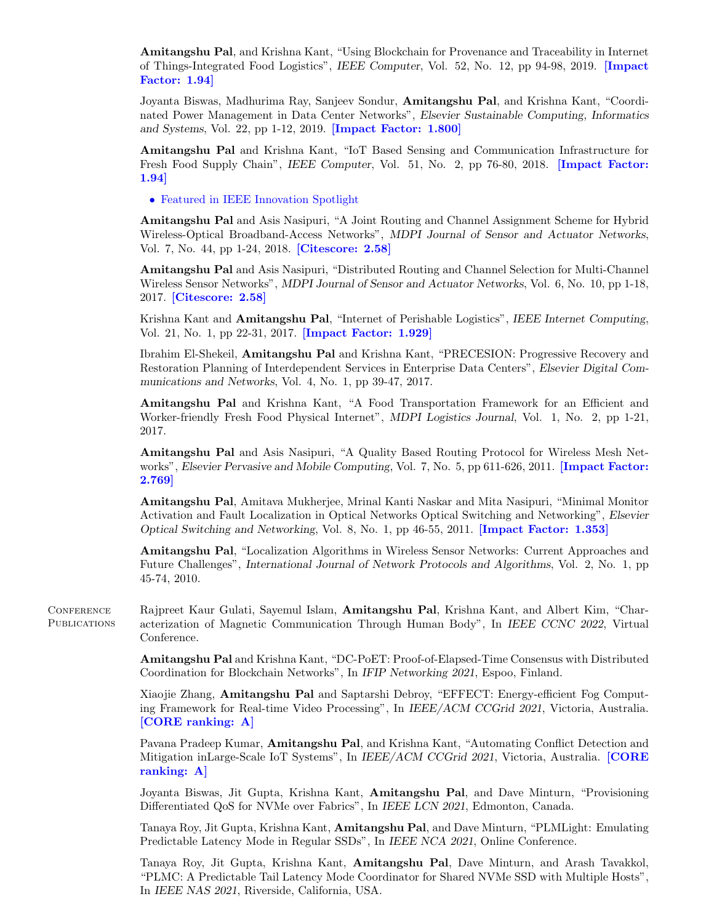Amitangshu Pal, and Krishna Kant, "Using Blockchain for Provenance and Traceability in Internet of Things-Integrated Food Logistics", IEEE Computer, Vol. 52, No. 12, pp 94-98, 2019. [Impact Factor: 1.94]

Joyanta Biswas, Madhurima Ray, Sanjeev Sondur, Amitangshu Pal, and Krishna Kant, "Coordinated Power Management in Data Center Networks", Elsevier Sustainable Computing, Informatics and Systems, Vol. 22, pp 1-12, 2019. [Impact Factor: 1.800]

Amitangshu Pal and Krishna Kant, "IoT Based Sensing and Communication Infrastructure for Fresh Food Supply Chain", IEEE Computer, Vol. 51, No. 2, pp 76-80, 2018. [Impact Factor: 1.94]

• Featured in IEEE Innovation Spotlight

Amitangshu Pal and Asis Nasipuri, "A Joint Routing and Channel Assignment Scheme for Hybrid Wireless-Optical Broadband-Access Networks", MDPI Journal of Sensor and Actuator Networks, Vol. 7, No. 44, pp 1-24, 2018. [Citescore: 2.58]

Amitangshu Pal and Asis Nasipuri, "Distributed Routing and Channel Selection for Multi-Channel Wireless Sensor Networks", MDPI Journal of Sensor and Actuator Networks, Vol. 6, No. 10, pp 1-18, 2017. [Citescore: 2.58]

Krishna Kant and Amitangshu Pal, "Internet of Perishable Logistics", IEEE Internet Computing, Vol. 21, No. 1, pp 22-31, 2017. [Impact Factor: 1.929]

Ibrahim El-Shekeil, Amitangshu Pal and Krishna Kant, "PRECESION: Progressive Recovery and Restoration Planning of Interdependent Services in Enterprise Data Centers", Elsevier Digital Communications and Networks, Vol. 4, No. 1, pp 39-47, 2017.

Amitangshu Pal and Krishna Kant, "A Food Transportation Framework for an Efficient and Worker-friendly Fresh Food Physical Internet", MDPI Logistics Journal, Vol. 1, No. 2, pp 1-21, 2017.

Amitangshu Pal and Asis Nasipuri, "A Quality Based Routing Protocol for Wireless Mesh Networks", Elsevier Pervasive and Mobile Computing, Vol. 7, No. 5, pp 611-626, 2011. [Impact Factor: 2.769]

Amitangshu Pal, Amitava Mukherjee, Mrinal Kanti Naskar and Mita Nasipuri, "Minimal Monitor Activation and Fault Localization in Optical Networks Optical Switching and Networking", Elsevier Optical Switching and Networking, Vol. 8, No. 1, pp 46-55, 2011. [Impact Factor: 1.353]

Amitangshu Pal, "Localization Algorithms in Wireless Sensor Networks: Current Approaches and Future Challenges", International Journal of Network Protocols and Algorithms, Vol. 2, No. 1, pp 45-74, 2010.

**CONFERENCE** PUBLICATIONS Rajpreet Kaur Gulati, Sayemul Islam, Amitangshu Pal, Krishna Kant, and Albert Kim, "Characterization of Magnetic Communication Through Human Body", In IEEE CCNC 2022, Virtual Conference.

> Amitangshu Pal and Krishna Kant, "DC-PoET: Proof-of-Elapsed-Time Consensus with Distributed Coordination for Blockchain Networks", In IFIP Networking 2021, Espoo, Finland.

> Xiaojie Zhang, Amitangshu Pal and Saptarshi Debroy, "EFFECT: Energy-efficient Fog Computing Framework for Real-time Video Processing", In IEEE/ACM CCGrid 2021, Victoria, Australia. [CORE ranking: A]

> Pavana Pradeep Kumar, **Amitangshu Pal**, and Krishna Kant, "Automating Conflict Detection and Mitigation inLarge-Scale IoT Systems", In IEEE/ACM CCGrid 2021, Victoria, Australia. [CORE ranking: A]

> Joyanta Biswas, Jit Gupta, Krishna Kant, Amitangshu Pal, and Dave Minturn, "Provisioning Differentiated QoS for NVMe over Fabrics", In IEEE LCN 2021, Edmonton, Canada.

> Tanaya Roy, Jit Gupta, Krishna Kant, Amitangshu Pal, and Dave Minturn, "PLMLight: Emulating Predictable Latency Mode in Regular SSDs", In IEEE NCA 2021, Online Conference.

> Tanaya Roy, Jit Gupta, Krishna Kant, Amitangshu Pal, Dave Minturn, and Arash Tavakkol, "PLMC: A Predictable Tail Latency Mode Coordinator for Shared NVMe SSD with Multiple Hosts", In IEEE NAS 2021, Riverside, California, USA.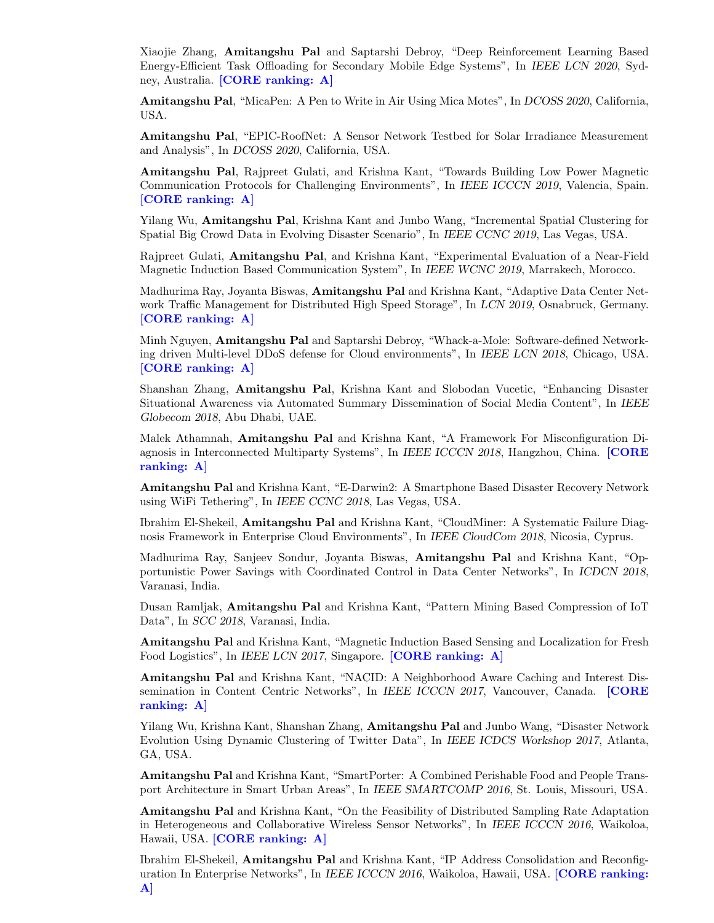Xiaojie Zhang, Amitangshu Pal and Saptarshi Debroy, "Deep Reinforcement Learning Based Energy-Efficient Task Offloading for Secondary Mobile Edge Systems", In IEEE LCN 2020, Sydney, Australia. [CORE ranking: A]

Amitangshu Pal, "MicaPen: A Pen to Write in Air Using Mica Motes", In DCOSS 2020, California, USA.

Amitangshu Pal, "EPIC-RoofNet: A Sensor Network Testbed for Solar Irradiance Measurement and Analysis", In DCOSS 2020, California, USA.

Amitangshu Pal, Rajpreet Gulati, and Krishna Kant, "Towards Building Low Power Magnetic Communication Protocols for Challenging Environments", In IEEE ICCCN 2019, Valencia, Spain. [CORE ranking: A]

Yilang Wu, Amitangshu Pal, Krishna Kant and Junbo Wang, "Incremental Spatial Clustering for Spatial Big Crowd Data in Evolving Disaster Scenario", In IEEE CCNC 2019, Las Vegas, USA.

Rajpreet Gulati, Amitangshu Pal, and Krishna Kant, "Experimental Evaluation of a Near-Field Magnetic Induction Based Communication System", In IEEE WCNC 2019, Marrakech, Morocco.

Madhurima Ray, Joyanta Biswas, **Amitangshu Pal** and Krishna Kant, "Adaptive Data Center Network Traffic Management for Distributed High Speed Storage", In LCN 2019, Osnabruck, Germany. [CORE ranking: A]

Minh Nguyen, Amitangshu Pal and Saptarshi Debroy, "Whack-a-Mole: Software-defined Networking driven Multi-level DDoS defense for Cloud environments", In IEEE LCN 2018, Chicago, USA. [CORE ranking: A]

Shanshan Zhang, Amitangshu Pal, Krishna Kant and Slobodan Vucetic, "Enhancing Disaster Situational Awareness via Automated Summary Dissemination of Social Media Content", In IEEE Globecom 2018, Abu Dhabi, UAE.

Malek Athamnah, Amitangshu Pal and Krishna Kant, "A Framework For Misconfiguration Diagnosis in Interconnected Multiparty Systems", In IEEE ICCCN 2018, Hangzhou, China. [CORE ranking: A]

Amitangshu Pal and Krishna Kant, "E-Darwin2: A Smartphone Based Disaster Recovery Network using WiFi Tethering", In IEEE CCNC 2018, Las Vegas, USA.

Ibrahim El-Shekeil, Amitangshu Pal and Krishna Kant, "CloudMiner: A Systematic Failure Diagnosis Framework in Enterprise Cloud Environments", In IEEE CloudCom 2018, Nicosia, Cyprus.

Madhurima Ray, Sanjeev Sondur, Joyanta Biswas, Amitangshu Pal and Krishna Kant, "Opportunistic Power Savings with Coordinated Control in Data Center Networks", In ICDCN 2018, Varanasi, India.

Dusan Ramljak, Amitangshu Pal and Krishna Kant, "Pattern Mining Based Compression of IoT Data", In SCC 2018, Varanasi, India.

Amitangshu Pal and Krishna Kant, "Magnetic Induction Based Sensing and Localization for Fresh Food Logistics", In IEEE LCN 2017, Singapore. [CORE ranking: A]

Amitangshu Pal and Krishna Kant, "NACID: A Neighborhood Aware Caching and Interest Dissemination in Content Centric Networks", In IEEE ICCCN 2017, Vancouver, Canada. [CORE ranking: A]

Yilang Wu, Krishna Kant, Shanshan Zhang, Amitangshu Pal and Junbo Wang, "Disaster Network Evolution Using Dynamic Clustering of Twitter Data", In IEEE ICDCS Workshop 2017, Atlanta, GA, USA.

Amitangshu Pal and Krishna Kant, "SmartPorter: A Combined Perishable Food and People Transport Architecture in Smart Urban Areas", In IEEE SMARTCOMP 2016, St. Louis, Missouri, USA.

Amitangshu Pal and Krishna Kant, "On the Feasibility of Distributed Sampling Rate Adaptation in Heterogeneous and Collaborative Wireless Sensor Networks", In IEEE ICCCN 2016, Waikoloa, Hawaii, USA. [CORE ranking: A]

Ibrahim El-Shekeil, Amitangshu Pal and Krishna Kant, "IP Address Consolidation and Reconfiguration In Enterprise Networks", In IEEE ICCCN 2016, Waikoloa, Hawaii, USA. [CORE ranking: A]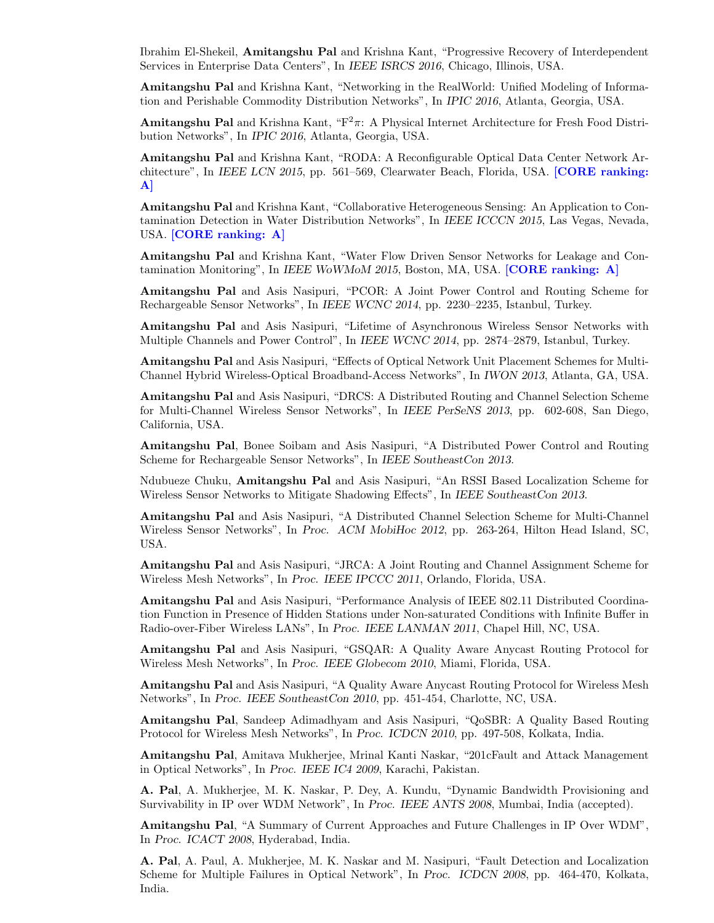Ibrahim El-Shekeil, Amitangshu Pal and Krishna Kant, "Progressive Recovery of Interdependent Services in Enterprise Data Centers", In IEEE ISRCS 2016, Chicago, Illinois, USA.

Amitangshu Pal and Krishna Kant, "Networking in the RealWorld: Unified Modeling of Information and Perishable Commodity Distribution Networks", In IPIC 2016, Atlanta, Georgia, USA.

**Amitangshu Pal** and Krishna Kant, " $F^2 \pi$ : A Physical Internet Architecture for Fresh Food Distribution Networks", In IPIC 2016, Atlanta, Georgia, USA.

Amitangshu Pal and Krishna Kant, "RODA: A Reconfigurable Optical Data Center Network Architecture", In IEEE LCN 2015, pp. 561–569, Clearwater Beach, Florida, USA. [CORE ranking: A]

Amitangshu Pal and Krishna Kant, "Collaborative Heterogeneous Sensing: An Application to Contamination Detection in Water Distribution Networks", In IEEE ICCCN 2015, Las Vegas, Nevada, USA. [CORE ranking: A]

Amitangshu Pal and Krishna Kant, "Water Flow Driven Sensor Networks for Leakage and Contamination Monitoring", In IEEE WoWMoM 2015, Boston, MA, USA. **[CORE ranking: A]** 

Amitangshu Pal and Asis Nasipuri, "PCOR: A Joint Power Control and Routing Scheme for Rechargeable Sensor Networks", In IEEE WCNC 2014, pp. 2230–2235, Istanbul, Turkey.

Amitangshu Pal and Asis Nasipuri, "Lifetime of Asynchronous Wireless Sensor Networks with Multiple Channels and Power Control", In IEEE WCNC 2014, pp. 2874–2879, Istanbul, Turkey.

Amitangshu Pal and Asis Nasipuri, "Effects of Optical Network Unit Placement Schemes for Multi-Channel Hybrid Wireless-Optical Broadband-Access Networks", In IWON 2013, Atlanta, GA, USA.

Amitangshu Pal and Asis Nasipuri, "DRCS: A Distributed Routing and Channel Selection Scheme for Multi-Channel Wireless Sensor Networks", In IEEE PerSeNS 2013, pp. 602-608, San Diego, California, USA.

Amitangshu Pal, Bonee Soibam and Asis Nasipuri, "A Distributed Power Control and Routing Scheme for Rechargeable Sensor Networks", In IEEE SoutheastCon 2013.

Ndubueze Chuku, Amitangshu Pal and Asis Nasipuri, "An RSSI Based Localization Scheme for Wireless Sensor Networks to Mitigate Shadowing Effects", In IEEE SoutheastCon 2013.

Amitangshu Pal and Asis Nasipuri, "A Distributed Channel Selection Scheme for Multi-Channel Wireless Sensor Networks", In Proc. ACM MobiHoc 2012, pp. 263-264, Hilton Head Island, SC, USA.

Amitangshu Pal and Asis Nasipuri, "JRCA: A Joint Routing and Channel Assignment Scheme for Wireless Mesh Networks", In Proc. IEEE IPCCC 2011, Orlando, Florida, USA.

Amitangshu Pal and Asis Nasipuri, "Performance Analysis of IEEE 802.11 Distributed Coordination Function in Presence of Hidden Stations under Non-saturated Conditions with Infinite Buffer in Radio-over-Fiber Wireless LANs", In Proc. IEEE LANMAN 2011, Chapel Hill, NC, USA.

Amitangshu Pal and Asis Nasipuri, "GSQAR: A Quality Aware Anycast Routing Protocol for Wireless Mesh Networks", In Proc. IEEE Globecom 2010, Miami, Florida, USA.

Amitangshu Pal and Asis Nasipuri, "A Quality Aware Anycast Routing Protocol for Wireless Mesh Networks", In Proc. IEEE SoutheastCon 2010, pp. 451-454, Charlotte, NC, USA.

Amitangshu Pal, Sandeep Adimadhyam and Asis Nasipuri, "QoSBR: A Quality Based Routing Protocol for Wireless Mesh Networks", In Proc. ICDCN 2010, pp. 497-508, Kolkata, India.

Amitangshu Pal, Amitava Mukherjee, Mrinal Kanti Naskar, "201cFault and Attack Management in Optical Networks", In Proc. IEEE IC4 2009, Karachi, Pakistan.

A. Pal, A. Mukherjee, M. K. Naskar, P. Dey, A. Kundu, "Dynamic Bandwidth Provisioning and Survivability in IP over WDM Network", In Proc. IEEE ANTS 2008, Mumbai, India (accepted).

Amitangshu Pal, "A Summary of Current Approaches and Future Challenges in IP Over WDM", In Proc. ICACT 2008, Hyderabad, India.

A. Pal, A. Paul, A. Mukherjee, M. K. Naskar and M. Nasipuri, "Fault Detection and Localization Scheme for Multiple Failures in Optical Network", In Proc. ICDCN 2008, pp. 464-470, Kolkata, India.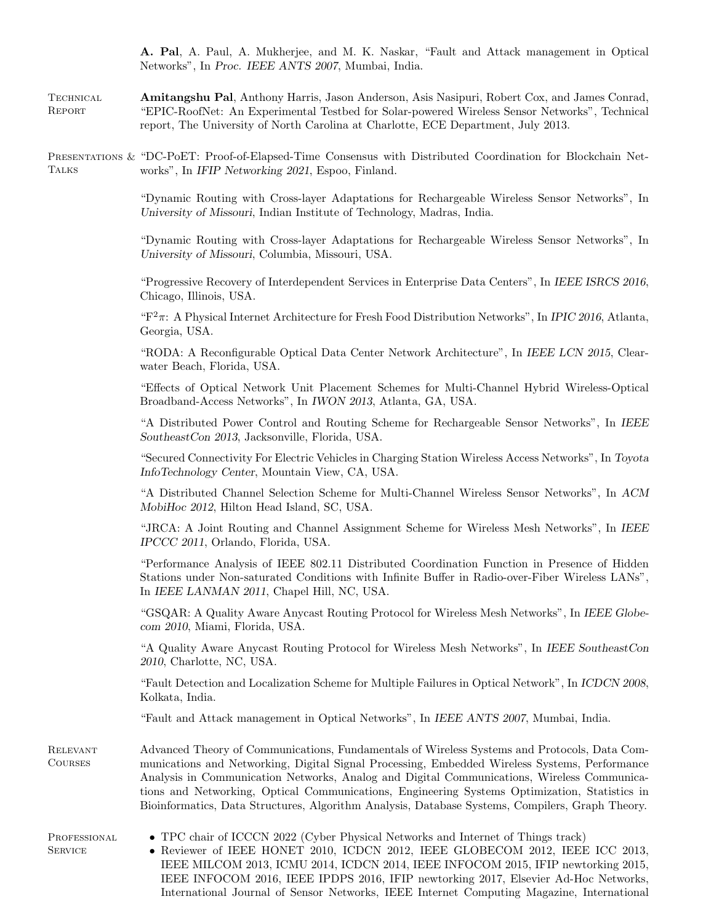A. Pal, A. Paul, A. Mukherjee, and M. K. Naskar, "Fault and Attack management in Optical Networks", In Proc. IEEE ANTS 2007, Mumbai, India.

**TECHNICAL** Report Amitangshu Pal, Anthony Harris, Jason Anderson, Asis Nasipuri, Robert Cox, and James Conrad, "EPIC-RoofNet: An Experimental Testbed for Solar-powered Wireless Sensor Networks", Technical report, The University of North Carolina at Charlotte, ECE Department, July 2013.

PRESENTATIONS & "DC-POET: Proof-of-Elapsed-Time Consensus with Distributed Coordination for Blockchain Net-**TALKS** works", In IFIP Networking 2021, Espoo, Finland.

> "Dynamic Routing with Cross-layer Adaptations for Rechargeable Wireless Sensor Networks", In University of Missouri, Indian Institute of Technology, Madras, India.

> "Dynamic Routing with Cross-layer Adaptations for Rechargeable Wireless Sensor Networks", In University of Missouri, Columbia, Missouri, USA.

> "Progressive Recovery of Interdependent Services in Enterprise Data Centers", In IEEE ISRCS 2016, Chicago, Illinois, USA.

> " $F^2\pi$ : A Physical Internet Architecture for Fresh Food Distribution Networks", In IPIC 2016, Atlanta, Georgia, USA.

> "RODA: A Reconfigurable Optical Data Center Network Architecture", In IEEE LCN 2015, Clearwater Beach, Florida, USA.

> "Effects of Optical Network Unit Placement Schemes for Multi-Channel Hybrid Wireless-Optical Broadband-Access Networks", In IWON 2013, Atlanta, GA, USA.

> "A Distributed Power Control and Routing Scheme for Rechargeable Sensor Networks", In IEEE SoutheastCon 2013, Jacksonville, Florida, USA.

> "Secured Connectivity For Electric Vehicles in Charging Station Wireless Access Networks", In Toyota InfoTechnology Center, Mountain View, CA, USA.

> "A Distributed Channel Selection Scheme for Multi-Channel Wireless Sensor Networks", In ACM MobiHoc 2012, Hilton Head Island, SC, USA.

> "JRCA: A Joint Routing and Channel Assignment Scheme for Wireless Mesh Networks", In IEEE IPCCC 2011, Orlando, Florida, USA.

> "Performance Analysis of IEEE 802.11 Distributed Coordination Function in Presence of Hidden Stations under Non-saturated Conditions with Infinite Buffer in Radio-over-Fiber Wireless LANs", In IEEE LANMAN 2011, Chapel Hill, NC, USA.

> "GSQAR: A Quality Aware Anycast Routing Protocol for Wireless Mesh Networks", In IEEE Globecom 2010, Miami, Florida, USA.

> "A Quality Aware Anycast Routing Protocol for Wireless Mesh Networks", In IEEE SoutheastCon 2010, Charlotte, NC, USA.

> "Fault Detection and Localization Scheme for Multiple Failures in Optical Network", In ICDCN 2008, Kolkata, India.

"Fault and Attack management in Optical Networks", In IEEE ANTS 2007, Mumbai, India.

Relevant Courses Advanced Theory of Communications, Fundamentals of Wireless Systems and Protocols, Data Communications and Networking, Digital Signal Processing, Embedded Wireless Systems, Performance Analysis in Communication Networks, Analog and Digital Communications, Wireless Communications and Networking, Optical Communications, Engineering Systems Optimization, Statistics in Bioinformatics, Data Structures, Algorithm Analysis, Database Systems, Compilers, Graph Theory.

PROFESSIONAL **SERVICE** 

• TPC chair of ICCCN 2022 (Cyber Physical Networks and Internet of Things track)

• Reviewer of IEEE HONET 2010, ICDCN 2012, IEEE GLOBECOM 2012, IEEE ICC 2013, IEEE MILCOM 2013, ICMU 2014, ICDCN 2014, IEEE INFOCOM 2015, IFIP newtorking 2015, IEEE INFOCOM 2016, IEEE IPDPS 2016, IFIP newtorking 2017, Elsevier Ad-Hoc Networks, International Journal of Sensor Networks, IEEE Internet Computing Magazine, International